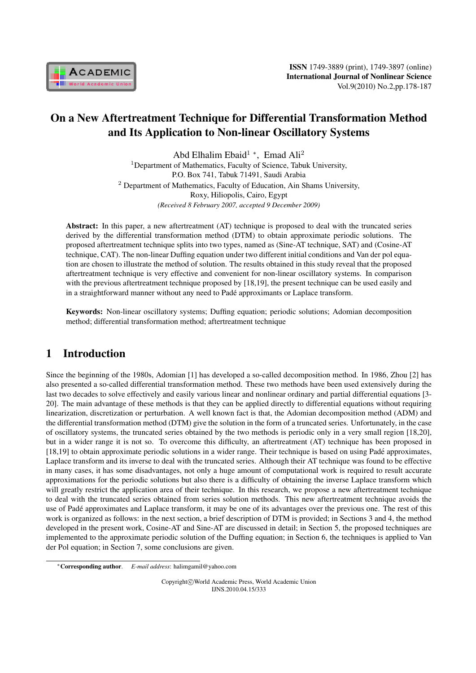

# On a New Aftertreatment Technique for Differential Transformation Method and Its Application to Non-linear Oscillatory Systems

Abd Elhalim Ebaid<sup>1</sup> \*, Emad Ali<sup>2</sup> <sup>1</sup>Department of Mathematics, Faculty of Science, Tabuk University, P.O. Box 741, Tabuk 71491, Saudi Arabia <sup>2</sup> Department of Mathematics, Faculty of Education, Ain Shams University, Roxy, Hiliopolis, Cairo, Egypt *(Received 8 February 2007, accepted 9 December 2009)*

Abstract: In this paper, a new aftertreatment (AT) technique is proposed to deal with the truncated series derived by the differential transformation method (DTM) to obtain approximate periodic solutions. The proposed aftertreatment technique splits into two types, named as (Sine-AT technique, SAT) and (Cosine-AT technique, CAT). The non-linear Duffing equation under two different initial conditions and Van der pol equation are chosen to illustrate the method of solution. The results obtained in this study reveal that the proposed aftertreatment technique is very effective and convenient for non-linear oscillatory systems. In comparison with the previous aftertreatment technique proposed by [18,19], the present technique can be used easily and in a straightforward manner without any need to Pade approximants or Laplace transform. ´

Keywords: Non-linear oscillatory systems; Duffing equation; periodic solutions; Adomian decomposition method; differential transformation method; aftertreatment technique

## 1 Introduction

Since the beginning of the 1980s, Adomian [1] has developed a so-called decomposition method. In 1986, Zhou [2] has also presented a so-called differential transformation method. These two methods have been used extensively during the last two decades to solve effectively and easily various linear and nonlinear ordinary and partial differential equations [3- 20]. The main advantage of these methods is that they can be applied directly to differential equations without requiring linearization, discretization or perturbation. A well known fact is that, the Adomian decomposition method (ADM) and the differential transformation method (DTM) give the solution in the form of a truncated series. Unfortunately, in the case of oscillatory systems, the truncated series obtained by the two methods is periodic only in a very small region [18,20], but in a wider range it is not so. To overcome this difficulty, an aftertreatment (AT) technique has been proposed in [18,19] to obtain approximate periodic solutions in a wider range. Their technique is based on using Pade approximates, ´ Laplace transform and its inverse to deal with the truncated series. Although their AT technique was found to be effective in many cases, it has some disadvantages, not only a huge amount of computational work is required to result accurate approximations for the periodic solutions but also there is a difficulty of obtaining the inverse Laplace transform which will greatly restrict the application area of their technique. In this research, we propose a new aftertreatment technique to deal with the truncated series obtained from series solution methods. This new aftertreatment technique avoids the use of Pade approximates and Laplace transform, it may be one of its advantages over the previous one. The rest of this ´ work is organized as follows: in the next section, a brief description of DTM is provided; in Sections 3 and 4, the method developed in the present work, Cosine-AT and Sine-AT are discussed in detail; in Section 5, the proposed techniques are implemented to the approximate periodic solution of the Duffing equation; in Section 6, the techniques is applied to Van der Pol equation; in Section 7, some conclusions are given.

Copyright*⃝*c World Academic Press, World Academic Union IJNS.2010.04.15/333

*<sup>∗</sup>*Corresponding author. *E-mail address*: halimgamil@yahoo.com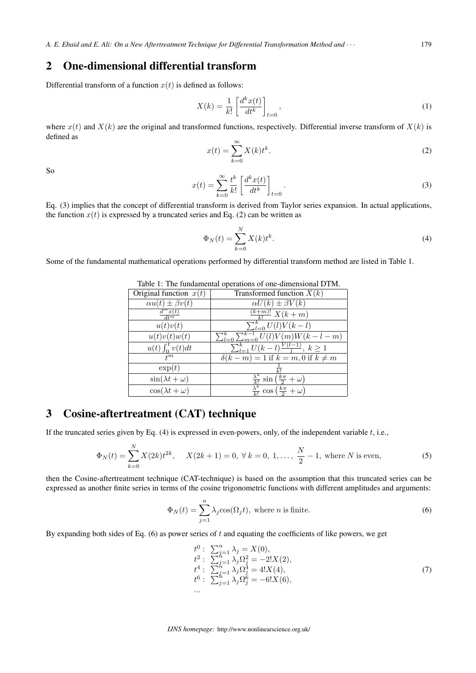### 2 One-dimensional differential transform

Differential transform of a function  $x(t)$  is defined as follows:

$$
X(k) = \frac{1}{k!} \left[ \frac{d^k x(t)}{dt^k} \right]_{t=0},\tag{1}
$$

where  $x(t)$  and  $X(k)$  are the original and transformed functions, respectively. Differential inverse transform of  $X(k)$  is defined as

$$
x(t) = \sum_{k=0}^{\infty} X(k)t^k.
$$
 (2)

So

$$
x(t) = \sum_{k=0}^{\infty} \frac{t^k}{k!} \left[ \frac{d^k x(t)}{dt^k} \right]_{t=0}.
$$
 (3)

Eq. (3) implies that the concept of differential transform is derived from Taylor series expansion. In actual applications, the function  $x(t)$  is expressed by a truncated series and Eq. (2) can be written as

$$
\Phi_N(t) = \sum_{k=0}^N X(k)t^k.
$$
\n(4)

Some of the fundamental mathematical operations performed by differential transform method are listed in Table 1.

| Original function $x(t)$     | Transformed function $X(k)$                                       |
|------------------------------|-------------------------------------------------------------------|
| $\alpha u(t) \pm \beta v(t)$ | $\alpha U(k) \pm \beta V(k)$                                      |
| $d^m x(t)$<br>$d t^m$        | $\frac{\overline{(k+m)!}}{\mu!}X(k+m)$                            |
| u(t)v(t)                     | $\sum_{l=0}^{k} U(l)V(k-l)$                                       |
| u(t)v(t)w(t)                 | $\sum_{l=0}^{k} \sum_{m=0}^{k-l} U(l)V(m)W(k-l-m)$                |
| $u(t)\int_0^t v(t)dt$        | $\sum_{l=1}^{k} U(k-l) \frac{V(l-1)}{l}, k \geq 1$                |
| $+m$                         | $\delta(k-m) = 1$ if $k = m, 0$ if $k \neq m$                     |
| $\exp(t)$                    |                                                                   |
| $\sin(\lambda t + \omega)$   | $\sin\left(\frac{k\pi}{2}+\omega\right)$                          |
| $\cos(\lambda t + \omega)$   | $\frac{\lambda^k}{k!}$ cos $\left(\frac{k\pi}{2} + \omega\right)$ |

Table 1: The fundamental operations of one-dimensional DTM.

## 3 Cosine-aftertreatment (CAT) technique

 $\ddot{\phantom{a}}$ 

If the truncated series given by Eq.  $(4)$  is expressed in even-powers, only, of the independent variable  $t$ , i.e.,

$$
\Phi_N(t) = \sum_{k=0}^N X(2k)t^{2k}, \quad X(2k+1) = 0, \forall k = 0, 1, ..., \frac{N}{2} - 1, \text{ where } N \text{ is even}, \tag{5}
$$

then the Cosine-aftertreatment technique (CAT-technique) is based on the assumption that this truncated series can be expressed as another finite series in terms of the cosine trigonometric functions with different amplitudes and arguments:

$$
\Phi_N(t) = \sum_{j=1}^n \lambda_j \cos(\Omega_j t), \text{ where } n \text{ is finite.}
$$
 (6)

By expanding both sides of Eq. (6) as power series of  $t$  and equating the coefficients of like powers, we get

$$
t^{0}: \sum_{j=1}^{n} \lambda_{j} = X(0),
$$
  
\n
$$
t^{2}: \sum_{j=1}^{n} \lambda_{j} \Omega_{j}^{2} = -2!X(2),
$$
  
\n
$$
t^{4}: \sum_{j=1}^{n} \lambda_{j} \Omega_{j}^{4} = 4!X(4),
$$
  
\n
$$
t^{6}: \sum_{j=1}^{n} \lambda_{j} \Omega_{j}^{6} = -6!X(6),
$$
  
\n... (7)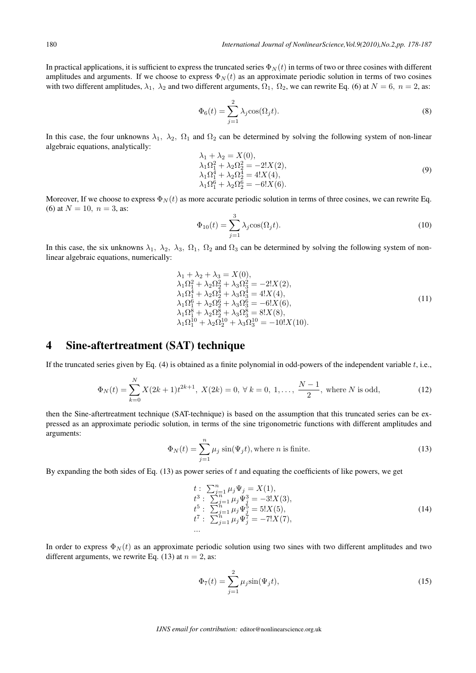In practical applications, it is sufficient to express the truncated series  $\Phi_N(t)$  in terms of two or three cosines with different amplitudes and arguments. If we choose to express  $\Phi_N(t)$  as an approximate periodic solution in terms of two cosines with two different amplitudes,  $\lambda_1$ ,  $\lambda_2$  and two different arguments,  $\Omega_1$ ,  $\Omega_2$ , we can rewrite Eq. (6) at  $N = 6$ ,  $n = 2$ , as:

$$
\Phi_6(t) = \sum_{j=1}^2 \lambda_j \cos(\Omega_j t). \tag{8}
$$

In this case, the four unknowns  $\lambda_1$ ,  $\lambda_2$ ,  $\Omega_1$  and  $\Omega_2$  can be determined by solving the following system of non-linear algebraic equations, analytically:

$$
\lambda_1 + \lambda_2 = X(0), \n\lambda_1 \Omega_1^2 + \lambda_2 \Omega_2^2 = -2!X(2), \n\lambda_1 \Omega_1^4 + \lambda_2 \Omega_2^4 = 4!X(4), \n\lambda_1 \Omega_1^6 + \lambda_2 \Omega_2^6 = -6!X(6).
$$
\n(9)

Moreover, If we choose to express  $\Phi_N(t)$  as more accurate periodic solution in terms of three cosines, we can rewrite Eq. (6) at  $N = 10$ ,  $n = 3$ , as:

$$
\Phi_{10}(t) = \sum_{j=1}^{3} \lambda_j \cos(\Omega_j t). \tag{10}
$$

In this case, the six unknowns  $\lambda_1$ ,  $\lambda_2$ ,  $\lambda_3$ ,  $\Omega_1$ ,  $\Omega_2$  and  $\Omega_3$  can be determined by solving the following system of nonlinear algebraic equations, numerically:

$$
\lambda_1 + \lambda_2 + \lambda_3 = X(0), \n\lambda_1 \Omega_1^2 + \lambda_2 \Omega_2^2 + \lambda_3 \Omega_3^2 = -2!X(2), \n\lambda_1 \Omega_1^4 + \lambda_2 \Omega_2^4 + \lambda_3 \Omega_3^4 = 4!X(4), \n\lambda_1 \Omega_1^6 + \lambda_2 \Omega_2^6 + \lambda_3 \Omega_3^6 = -6!X(6), \n\lambda_1 \Omega_1^8 + \lambda_2 \Omega_2^8 + \lambda_3 \Omega_3^8 = 8!X(8), \n\lambda_1 \Omega_1^{10} + \lambda_2 \Omega_2^{10} + \lambda_3 \Omega_3^{10} = -10!X(10).
$$
\n(11)

## 4 Sine-aftertreatment (SAT) technique

If the truncated series given by Eq.  $(4)$  is obtained as a finite polynomial in odd-powers of the independent variable  $t$ , i.e.,

$$
\Phi_N(t) = \sum_{k=0}^N X(2k+1)t^{2k+1}, \ X(2k) = 0, \ \forall \ k = 0, 1, \dots, \ \frac{N-1}{2}, \text{ where } N \text{ is odd}, \tag{12}
$$

then the Sine-aftertreatment technique (SAT-technique) is based on the assumption that this truncated series can be expressed as an approximate periodic solution, in terms of the sine trigonometric functions with different amplitudes and arguments:

$$
\Phi_N(t) = \sum_{j=1}^n \mu_j \sin(\Psi_j t), \text{where } n \text{ is finite.}
$$
\n(13)

By expanding the both sides of Eq.  $(13)$  as power series of  $t$  and equating the coefficients of like powers, we get

$$
t: \sum_{j=1}^{n} \mu_j \Psi_j = X(1),
$$
  
\n
$$
t^3: \sum_{j=1}^{n} \mu_j \Psi_j^3 = -3!X(3),
$$
  
\n
$$
t^5: \sum_{j=1}^{n} \mu_j \Psi_j^3 = 5!X(5),
$$
  
\n
$$
t^7: \sum_{j=1}^{n} \mu_j \Psi_j^7 = -7!X(7),
$$
  
\n... (14)

In order to express  $\Phi_N(t)$  as an approximate periodic solution using two sines with two different amplitudes and two different arguments, we rewrite Eq. (13) at  $n = 2$ , as:

$$
\Phi_7(t) = \sum_{j=1}^2 \mu_j \sin(\Psi_j t),\tag{15}
$$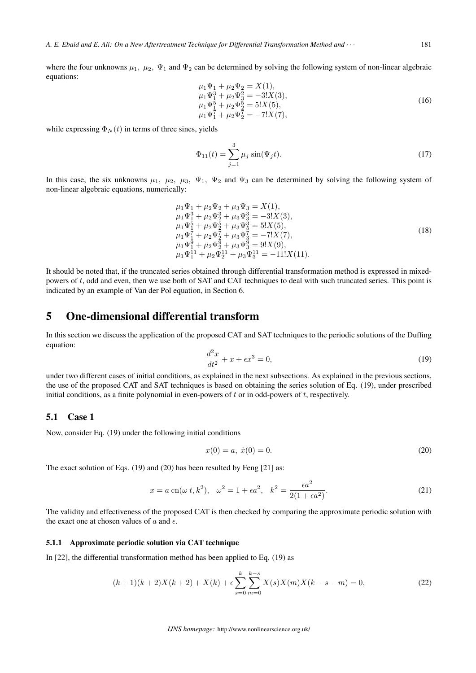where the four unknowns  $\mu_1$ ,  $\mu_2$ ,  $\Psi_1$  and  $\Psi_2$  can be determined by solving the following system of non-linear algebraic equations:

$$
\mu_1 \Psi_1 + \mu_2 \Psi_2 = X(1), \n\mu_1 \Psi_1^3 + \mu_2 \Psi_2^2 = -3!X(3), \n\mu_1 \Psi_1^5 + \mu_2 \Psi_2^5 = 5!X(5), \n\mu_1 \Psi_1^7 + \mu_2 \Psi_2^7 = -7!X(7),
$$
\n(16)

while expressing  $\Phi_N(t)$  in terms of three sines, yields

$$
\Phi_{11}(t) = \sum_{j=1}^{3} \mu_j \sin(\Psi_j t). \tag{17}
$$

In this case, the six unknowns  $\mu_1$ ,  $\mu_2$ ,  $\mu_3$ ,  $\Psi_1$ ,  $\Psi_2$  and  $\Psi_3$  can be determined by solving the following system of non-linear algebraic equations, numerically:

$$
\mu_1 \Psi_1 + \mu_2 \Psi_2 + \mu_3 \Psi_3 = X(1), \n\mu_1 \Psi_1^3 + \mu_2 \Psi_2^3 + \mu_3 \Psi_3^3 = -3!X(3), \n\mu_1 \Psi_1^5 + \mu_2 \Psi_2^5 + \mu_3 \Psi_2^3 = 5!X(5), \n\mu_1 \Psi_1^7 + \mu_2 \Psi_2^7 + \mu_3 \Psi_3^7 = -7!X(7), \n\mu_1 \Psi_1^9 + \mu_2 \Psi_2^9 + \mu_3 \Psi_3^9 = 9!X(9), \n\mu_1 \Psi_1^{11} + \mu_2 \Psi_2^{11} + \mu_3 \Psi_3^{11} = -11!X(11).
$$
\n(18)

It should be noted that, if the truncated series obtained through differential transformation method is expressed in mixedpowers of  $t$ , odd and even, then we use both of SAT and CAT techniques to deal with such truncated series. This point is indicated by an example of Van der Pol equation, in Section 6.

## 5 One-dimensional differential transform

In this section we discuss the application of the proposed CAT and SAT techniques to the periodic solutions of the Duffing equation:

$$
\frac{d^2x}{dt^2} + x + \epsilon x^3 = 0,\t\t(19)
$$

under two different cases of initial conditions, as explained in the next subsections. As explained in the previous sections, the use of the proposed CAT and SAT techniques is based on obtaining the series solution of Eq. (19), under prescribed initial conditions, as a finite polynomial in even-powers of  $t$  or in odd-powers of  $t$ , respectively.

### 5.1 Case 1

Now, consider Eq. (19) under the following initial conditions

$$
x(0) = a, \ \dot{x}(0) = 0. \tag{20}
$$

The exact solution of Eqs. (19) and (20) has been resulted by Feng [21] as:

$$
x = a \operatorname{cn}(\omega t, k^2), \quad \omega^2 = 1 + \epsilon a^2, \quad k^2 = \frac{\epsilon a^2}{2(1 + \epsilon a^2)}.
$$
 (21)

The validity and effectiveness of the proposed CAT is then checked by comparing the approximate periodic solution with the exact one at chosen values of  $a$  and  $\epsilon$ .

#### 5.1.1 Approximate periodic solution via CAT technique

In [22], the differential transformation method has been applied to Eq. (19) as

$$
(k+1)(k+2)X(k+2) + X(k) + \epsilon \sum_{s=0}^{k} \sum_{m=0}^{k-s} X(s)X(m)X(k-s-m) = 0,
$$
\n(22)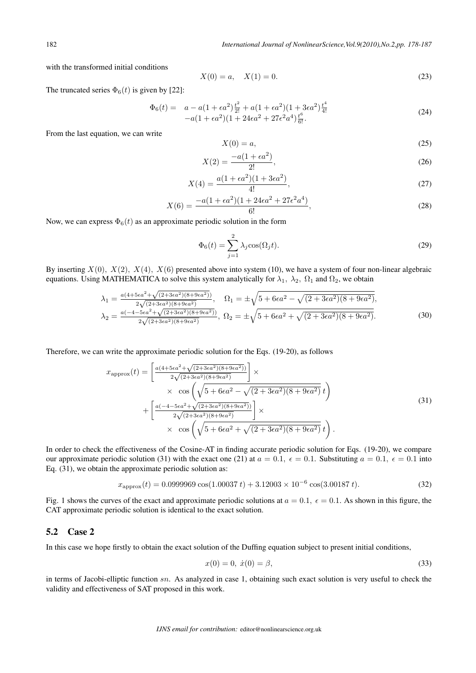with the transformed initial conditions

$$
X(0) = a, \quad X(1) = 0.
$$
\n(23)

The truncated series  $\Phi_6(t)$  is given by [22]:

$$
\Phi_6(t) = a - a(1 + \epsilon a^2) \frac{t^2}{2!} + a(1 + \epsilon a^2)(1 + 3\epsilon a^2) \frac{t^4}{4!} - a(1 + \epsilon a^2)(1 + 24\epsilon a^2 + 27\epsilon^2 a^4) \frac{t^6}{6!}.
$$
\n(24)

From the last equation, we can write

$$
X(0) = a,\t\t(25)
$$

$$
X(2) = \frac{-a(1 + \epsilon a^2)}{2!},\tag{26}
$$

$$
X(4) = \frac{a(1 + \epsilon a^2)(1 + 3\epsilon a^2)}{4!},
$$
\n(27)

$$
X(6) = \frac{-a(1 + \epsilon a^2)(1 + 24\epsilon a^2 + 27\epsilon^2 a^4)}{6!},
$$
\n(28)

Now, we can express  $\Phi_6(t)$  as an approximate periodic solution in the form

$$
\Phi_6(t) = \sum_{j=1}^2 \lambda_j \cos(\Omega_j t). \tag{29}
$$

By inserting  $X(0)$ ,  $X(2)$ ,  $X(4)$ ,  $X(6)$  presented above into system (10), we have a system of four non-linear algebraic equations. Using MATHEMATICA to solve this system analytically for  $\lambda_1$ ,  $\lambda_2$ ,  $\Omega_1$  and  $\Omega_2$ , we obtain

$$
\lambda_1 = \frac{a(4+5\epsilon a^2 + \sqrt{(2+3\epsilon a^2)(8+9\epsilon a^2)})}{2\sqrt{(2+3\epsilon a^2)(8+9\epsilon a^2)}}, \quad \Omega_1 = \pm \sqrt{5+6\epsilon a^2 - \sqrt{(2+3\epsilon a^2)(8+9\epsilon a^2)}},
$$
\n
$$
\lambda_2 = \frac{a(-4-5\epsilon a^2 + \sqrt{(2+3\epsilon a^2)(8+9\epsilon a^2)})}{2\sqrt{(2+3\epsilon a^2)(8+9\epsilon a^2)}}, \quad \Omega_2 = \pm \sqrt{5+6\epsilon a^2 + \sqrt{(2+3\epsilon a^2)(8+9\epsilon a^2)}}. \tag{30}
$$

Therefore, we can write the approximate periodic solution for the Eqs. (19-20), as follows

$$
x_{\rm approx}(t) = \left[ \frac{a(4+5\epsilon a^2 + \sqrt{(2+3\epsilon a^2)(8+9\epsilon a^2)})}{2\sqrt{(2+3\epsilon a^2)(8+9\epsilon a^2)}} \right] \times \\ \times \cos \left( \sqrt{5+6\epsilon a^2} - \sqrt{(2+3\epsilon a^2)(8+9\epsilon a^2)} t \right) \\ + \left[ \frac{a(-4-5\epsilon a^2 + \sqrt{(2+3\epsilon a^2)(8+9\epsilon a^2)})}{2\sqrt{(2+3\epsilon a^2)(8+9\epsilon a^2)}} \right] \times \\ \times \cos \left( \sqrt{5+6\epsilon a^2} + \sqrt{(2+3\epsilon a^2)(8+9\epsilon a^2)} t \right). \tag{31}
$$

In order to check the effectiveness of the Cosine-AT in finding accurate periodic solution for Eqs. (19-20), we compare our approximate periodic solution (31) with the exact one (21) at  $a = 0.1$ ,  $\epsilon = 0.1$ . Substituting  $a = 0.1$ ,  $\epsilon = 0.1$  into Eq. (31), we obtain the approximate periodic solution as:

$$
x_{\text{approx}}(t) = 0.0999969 \cos(1.00037 \, t) + 3.12003 \times 10^{-6} \cos(3.00187 \, t). \tag{32}
$$

Fig. 1 shows the curves of the exact and approximate periodic solutions at  $a = 0.1$ ,  $\epsilon = 0.1$ . As shown in this figure, the CAT approximate periodic solution is identical to the exact solution.

### 5.2 Case 2

In this case we hope firstly to obtain the exact solution of the Duffing equation subject to present initial conditions,

$$
x(0) = 0, \ \dot{x}(0) = \beta,\tag{33}
$$

in terms of Jacobi-elliptic function  $sn$ . As analyzed in case 1, obtaining such exact solution is very useful to check the validity and effectiveness of SAT proposed in this work.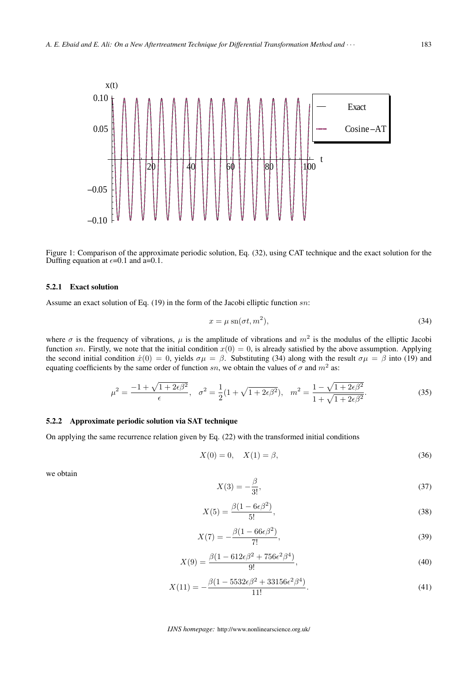

Figure 1: Comparison of the approximate periodic solution, Eq. (32), using CAT technique and the exact solution for the Duffing equation at  $\epsilon$ =0.1 and  $a=0.1$ .

#### 5.2.1 Exact solution

Assume an exact solution of Eq.  $(19)$  in the form of the Jacobi elliptic function  $sn$ :

$$
x = \mu \operatorname{sn}(\sigma t, m^2),\tag{34}
$$

where  $\sigma$  is the frequency of vibrations,  $\mu$  is the amplitude of vibrations and  $m^2$  is the modulus of the elliptic Jacobi function sn. Firstly, we note that the initial condition  $x(0) = 0$ , is already satisfied by the above assumption. Applying the second initial condition  $\dot{x}(0) = 0$ , yields  $\sigma \mu = \beta$ . Substituting (34) along with the result  $\sigma \mu = \beta$  into (19) and equating coefficients by the same order of function sn, we obtain the values of  $\sigma$  and  $m^2$  as:

$$
\mu^2 = \frac{-1 + \sqrt{1 + 2\epsilon\beta^2}}{\epsilon}, \quad \sigma^2 = \frac{1}{2}(1 + \sqrt{1 + 2\epsilon\beta^2}), \quad m^2 = \frac{1 - \sqrt{1 + 2\epsilon\beta^2}}{1 + \sqrt{1 + 2\epsilon\beta^2}}.
$$
 (35)

#### 5.2.2 Approximate periodic solution via SAT technique

On applying the same recurrence relation given by Eq. (22) with the transformed initial conditions

$$
X(0) = 0, \quad X(1) = \beta,
$$
\n(36)

we obtain

$$
X(3) = -\frac{\beta}{3!},\tag{37}
$$

$$
X(5) = \frac{\beta(1 - 6\epsilon\beta^2)}{5!},\tag{38}
$$

$$
X(7) = -\frac{\beta(1 - 66\epsilon)\beta^2}{7!},\tag{39}
$$

$$
X(9) = \frac{\beta(1 - 612\epsilon\beta^2 + 756\epsilon^2\beta^4)}{9!},
$$
\n(40)

$$
X(11) = -\frac{\beta(1 - 5532\epsilon\beta^2 + 33156\epsilon^2\beta^4)}{11!}.
$$
\n(41)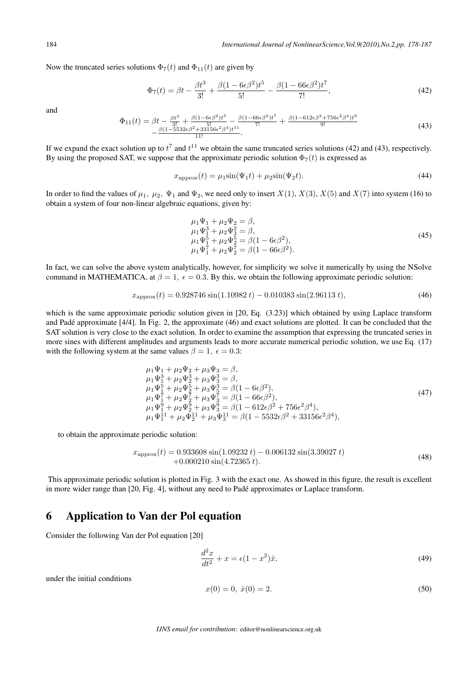Now the truncated series solutions  $\Phi_7(t)$  and  $\Phi_{11}(t)$  are given by

$$
\Phi_7(t) = \beta t - \frac{\beta t^3}{3!} + \frac{\beta (1 - 6\epsilon \beta^2) t^5}{5!} - \frac{\beta (1 - 66\epsilon \beta^2) t^7}{7!},\tag{42}
$$

and

$$
\Phi_{11}(t) = \beta t - \frac{\beta t^3}{3!} + \frac{\beta (1 - 6\epsilon \beta^2) t^5}{5!} - \frac{\beta (1 - 66\epsilon \beta^2) t^7}{7!} + \frac{\beta (1 - 612\epsilon \beta^2 + 756\epsilon^2 \beta^4) t^9}{9!} - \frac{\beta (1 - 5532\epsilon \beta^2 + 33156\epsilon^2 \beta^4) t^{11}}{11!}.
$$
\n(43)

If we expand the exact solution up to  $t^7$  and  $t^{11}$  we obtain the same truncated series solutions (42) and (43), respectively. By using the proposed SAT, we suppose that the approximate periodic solution  $\Phi_7(t)$  is expressed as

$$
x_{\text{approx}}(t) = \mu_1 \sin(\Psi_1 t) + \mu_2 \sin(\Psi_2 t). \tag{44}
$$

In order to find the values of  $\mu_1$ ,  $\mu_2$ ,  $\Psi_1$  and  $\Psi_2$ , we need only to insert  $X(1)$ ,  $X(3)$ ,  $X(5)$  and  $X(7)$  into system (16) to obtain a system of four non-linear algebraic equations, given by:

$$
\mu_1 \Psi_1 + \mu_2 \Psi_2 = \beta,
$$
  
\n
$$
\mu_1 \Psi_1^3 + \mu_2 \Psi_2^2 = \beta,
$$
  
\n
$$
\mu_1 \Psi_1^5 + \mu_2 \Psi_2^5 = \beta (1 - 6\epsilon \beta^2),
$$
  
\n
$$
\mu_1 \Psi_1^7 + \mu_2 \Psi_2^7 = \beta (1 - 66\epsilon \beta^2).
$$
\n(45)

In fact, we can solve the above system analytically, however, for simplicity we solve it numerically by using the NSolve command in MATHEMATICA, at  $\beta = 1$ ,  $\epsilon = 0.3$ . By this, we obtain the following approximate periodic solution:

$$
x_{\text{approx}}(t) = 0.928746 \sin(1.10982 t) - 0.010383 \sin(2.96113 t), \tag{46}
$$

which is the same approximate periodic solution given in [20, Eq.  $(3.23)$ ] which obtained by using Laplace transform and Padé approximate  $[4/4]$ . In Fig. 2, the approximate  $(46)$  and exact solutions are plotted. It can be concluded that the SAT solution is very close to the exact solution. In order to examine the assumption that expressing the truncated series in more sines with different amplitudes and arguments leads to more accurate numerical periodic solution, we use Eq. (17) with the following system at the same values  $\beta = 1, \epsilon = 0.3$ :

$$
\mu_1 \Psi_1 + \mu_2 \Psi_2 + \mu_3 \Psi_3 = \beta,
$$
  
\n
$$
\mu_1 \Psi_1^3 + \mu_2 \Psi_2^3 + \mu_3 \Psi_3^3 = \beta,
$$
  
\n
$$
\mu_1 \Psi_1^5 + \mu_2 \Psi_2^5 + \mu_3 \Psi_3^3 = \beta (1 - 6\epsilon \beta^2),
$$
  
\n
$$
\mu_1 \Psi_1^7 + \mu_2 \Psi_2^7 + \mu_3 \Psi_3^7 = \beta (1 - 66\epsilon \beta^2),
$$
  
\n
$$
\mu_1 \Psi_1^9 + \mu_2 \Psi_2^9 + \mu_3 \Psi_3^9 = \beta (1 - 612\epsilon \beta^2 + 756\epsilon^2 \beta^4),
$$
  
\n
$$
\mu_1 \Psi_1^{11} + \mu_2 \Psi_2^{11} + \mu_3 \Psi_3^{11} = \beta (1 - 5532\epsilon \beta^2 + 33156\epsilon^2 \beta^4),
$$
\n(47)

to obtain the approximate periodic solution:

$$
x_{\text{approx}}(t) = 0.933608 \sin(1.09232 t) - 0.006132 \sin(3.39027 t) + 0.000210 \sin(4.72365 t).
$$
 (48)

This approximate periodic solution is plotted in Fig. 3 with the exact one. As showed in this figure, the result is excellent in more wider range than [20, Fig. 4], without any need to Pade approximates or Laplace transform. ´

### 6 Application to Van der Pol equation

Consider the following Van der Pol equation [20]

$$
\frac{d^2x}{dt^2} + x = \epsilon(1 - x^2)\dot{x},\tag{49}
$$

under the initial conditions

$$
x(0) = 0, \ \dot{x}(0) = 2. \tag{50}
$$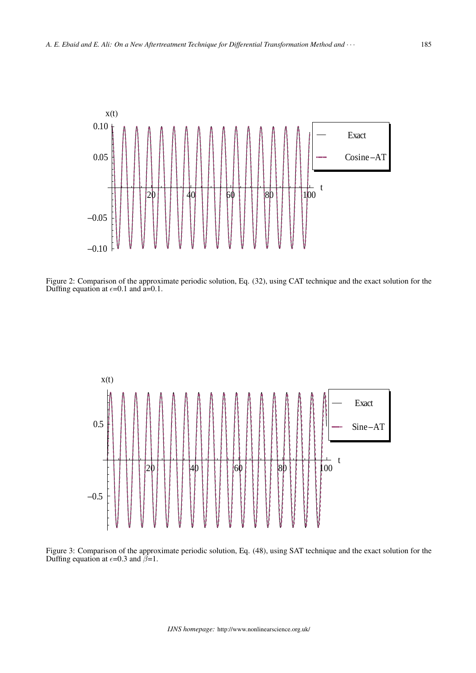

Figure 2: Comparison of the approximate periodic solution, Eq. (32), using CAT technique and the exact solution for the Duffing equation at  $\epsilon$ =0.1 and a=0.1.



Figure 3: Comparison of the approximate periodic solution, Eq. (48), using SAT technique and the exact solution for the Duffing equation at  $\epsilon$ =0.3 and  $\beta$ =1.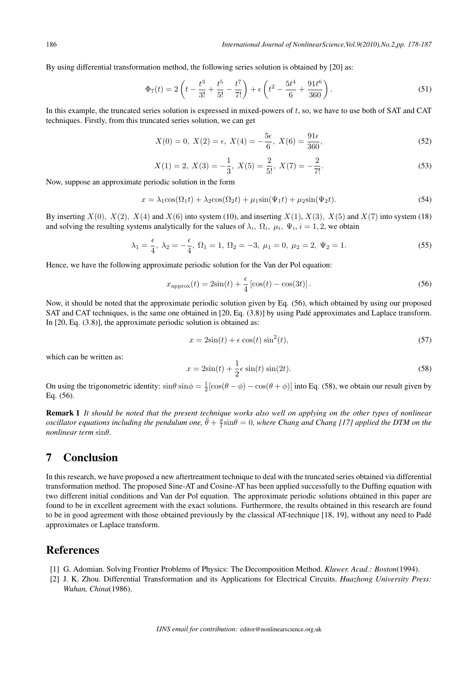By using differential transformation method, the following series solution is obtained by [20] as:

$$
\Phi_7(t) = 2\left(t - \frac{t^3}{3!} + \frac{t^5}{5!} - \frac{t^7}{7!}\right) + \epsilon\left(t^2 - \frac{5t^4}{6} + \frac{91t^6}{360}\right). \tag{51}
$$

In this example, the truncated series solution is expressed in mixed-powers of  $t$ , so, we have to use both of SAT and CAT techniques. Firstly, from this truncated series solution, we can get

$$
X(0) = 0, \ X(2) = \epsilon, \ X(4) = -\frac{5\epsilon}{6}, \ X(6) = \frac{91\epsilon}{360}, \tag{52}
$$

$$
X(1) = 2, \ X(3) = -\frac{1}{3}, \ X(5) = \frac{2}{5!}, \ X(7) = -\frac{2}{7!}.
$$

Now, suppose an approximate periodic solution in the form

$$
x = \lambda_1 \cos(\Omega_1 t) + \lambda_2 \cos(\Omega_2 t) + \mu_1 \sin(\Psi_1 t) + \mu_2 \sin(\Psi_2 t). \tag{54}
$$

By inserting  $X(0)$ ,  $X(2)$ ,  $X(4)$  and  $X(6)$  into system (10), and inserting  $X(1)$ ,  $X(3)$ ,  $X(5)$  and  $X(7)$  into system (18) and solving the resulting systems analytically for the values of  $\lambda_i$ ,  $\Omega_i$ ,  $\mu_i$ ,  $\Psi_i$ ,  $i = 1, 2$ , we obtain

$$
\lambda_1 = \frac{\epsilon}{4}, \ \lambda_2 = -\frac{\epsilon}{4}, \ \Omega_1 = 1, \ \Omega_2 = -3, \ \mu_1 = 0, \ \mu_2 = 2, \ \Psi_2 = 1. \tag{55}
$$

Hence, we have the following approximate periodic solution for the Van der Pol equation:

$$
x_{\text{approx}}(t) = 2\sin(t) + \frac{\epsilon}{4} \left[ \cos(t) - \cos(3t) \right]. \tag{56}
$$

Now, it should be noted that the approximate periodic solution given by Eq. (56), which obtained by using our proposed SAT and CAT techniques, is the same one obtained in [20, Eq. (3.8)] by using Padé approximates and Laplace transform. In [20, Eq.  $(3.8)$ ], the approximate periodic solution is obtained as:

$$
x = 2\sin(t) + \epsilon \cos(t) \sin^2(t),\tag{57}
$$

which can be written as:

$$
x = 2\sin(t) + \frac{1}{2}\epsilon\sin(t)\sin(2t). \tag{58}
$$

On using the trigonometric identity:  $\sin\theta \sin\phi = \frac{1}{2} [\cos(\theta - \phi) - \cos(\theta + \phi)]$  into Eq. (58), we obtain our result given by Eq. (56).

Remark 1 *It should be noted that the present technique works also well on applying on the other types of nonlinear oscillator equations including the pendulum one,*  $\ddot{\theta} + \frac{\hat{g}}{l}sin\theta = 0$ , where Chang and Chang [17] applied the DTM on the *nonlinear term* sin*.*

## 7 Conclusion

In this research, we have proposed a new aftertreatment technique to deal with the truncated series obtained via differential transformation method. The proposed Sine-AT and Cosine-AT has been applied successfully to the Duffing equation with two different initial conditions and Van der Pol equation. The approximate periodic solutions obtained in this paper are found to be in excellent agreement with the exact solutions. Furthermore, the results obtained in this research are found to be in good agreement with those obtained previously by the classical AT-technique [18, 19], without any need to Pade´ approximates or Laplace transform.

### **References**

- [1] G. Adomian. Solving Frontier Problems of Physics: The Decomposition Method. *Kluwer. Acad.: Boston*(1994).
- [2] J. K. Zhou. Differential Transformation and its Applications for Electrical Circuits. *Huazhong University Press: Wuhan, China*(1986).